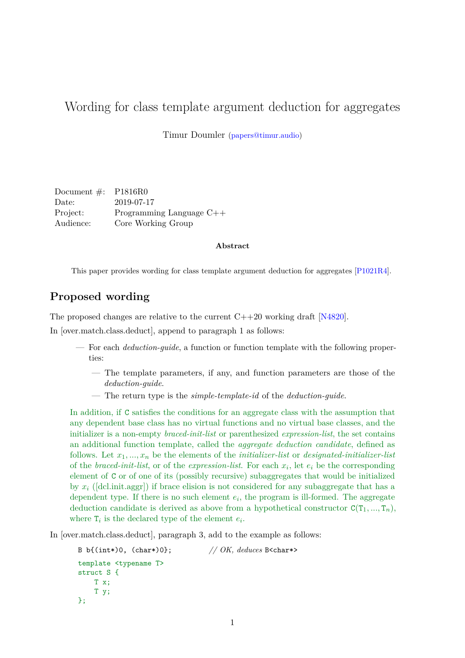## Wording for class template argument deduction for aggregates

Timur Doumler [\(papers@timur.audio\)](mailto:papers@timur.audio)

| Document $\#$ : P1816R0 |                            |
|-------------------------|----------------------------|
| Date:                   | 2019-07-17                 |
| Project:                | Programming Language $C++$ |
| Audience:               | Core Working Group         |

## **Abstract**

This paper provides wording for class template argument deduction for aggregates [\[P1021R4\]](#page-1-0).

## **Proposed wording**

The proposed changes are relative to the current  $C++20$  working draft [\[N4820\]](#page-1-1).

In [over.match.class.deduct], append to paragraph 1 as follows:

- For each *deduction-guide*, a function or function template with the following properties:
	- The template parameters, if any, and function parameters are those of the *deduction-guide*.
	- The return type is the *simple-template-id* of the *deduction-guide*.

In addition, if C satisfies the conditions for an aggregate class with the assumption that any dependent base class has no virtual functions and no virtual base classes, and the initializer is a non-empty *braced-init-list* or parenthesized *expression-list*, the set contains an additional function template, called the *aggregate deduction candidate*, defined as follows. Let *x*1*, ..., x<sup>n</sup>* be the elements of the *initializer-list* or *designated-initializer-list* of the *braced-init-list*, or of the *expression-list*. For each *x<sup>i</sup>* , let *e<sup>i</sup>* be the corresponding element of C or of one of its (possibly recursive) subaggregates that would be initialized by *x<sup>i</sup>* ([dcl.init.aggr]) if brace elision is not considered for any subaggregate that has a dependent type. If there is no such element  $e_i$ , the program is ill-formed. The aggregate deduction candidate is derived as above from a hypothetical constructor  $C(T_1, ..., T_n)$ , where  $\mathbf{T}_i$  is the declared type of the element  $e_i$ .

In [over.match.class.deduct], paragraph 3, add to the example as follows:

```
B b{(int*)0, (char*)0}; // OK, deduces B<char*>
template <typename T>
struct S {
   T x;
   T y;
};
```